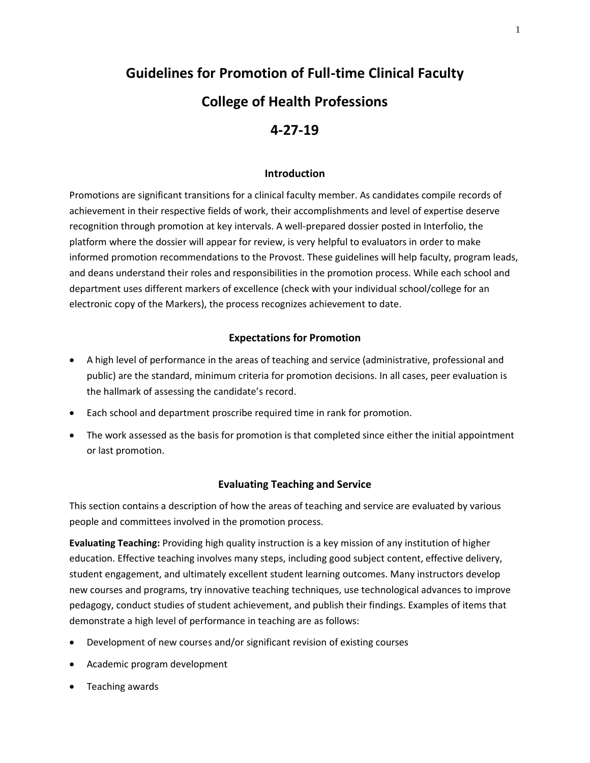# **Guidelines for Promotion of Full-time Clinical Faculty College of Health Professions 4-27-19**

#### **Introduction**

Promotions are significant transitions for a clinical faculty member. As candidates compile records of achievement in their respective fields of work, their accomplishments and level of expertise deserve recognition through promotion at key intervals. A well-prepared dossier posted in Interfolio, the platform where the dossier will appear for review, is very helpful to evaluators in order to make informed promotion recommendations to the Provost. These guidelines will help faculty, program leads, and deans understand their roles and responsibilities in the promotion process. While each school and department uses different markers of excellence (check with your individual school/college for an electronic copy of the Markers), the process recognizes achievement to date.

#### **Expectations for Promotion**

- A high level of performance in the areas of teaching and service (administrative, professional and public) are the standard, minimum criteria for promotion decisions. In all cases, peer evaluation is the hallmark of assessing the candidate's record.
- Each school and department proscribe required time in rank for promotion.
- The work assessed as the basis for promotion is that completed since either the initial appointment or last promotion.

#### **Evaluating Teaching and Service**

This section contains a description of how the areas of teaching and service are evaluated by various people and committees involved in the promotion process.

**Evaluating Teaching:** Providing high quality instruction is a key mission of any institution of higher education. Effective teaching involves many steps, including good subject content, effective delivery, student engagement, and ultimately excellent student learning outcomes. Many instructors develop new courses and programs, try innovative teaching techniques, use technological advances to improve pedagogy, conduct studies of student achievement, and publish their findings. Examples of items that demonstrate a high level of performance in teaching are as follows:

- Development of new courses and/or significant revision of existing courses
- Academic program development
- Teaching awards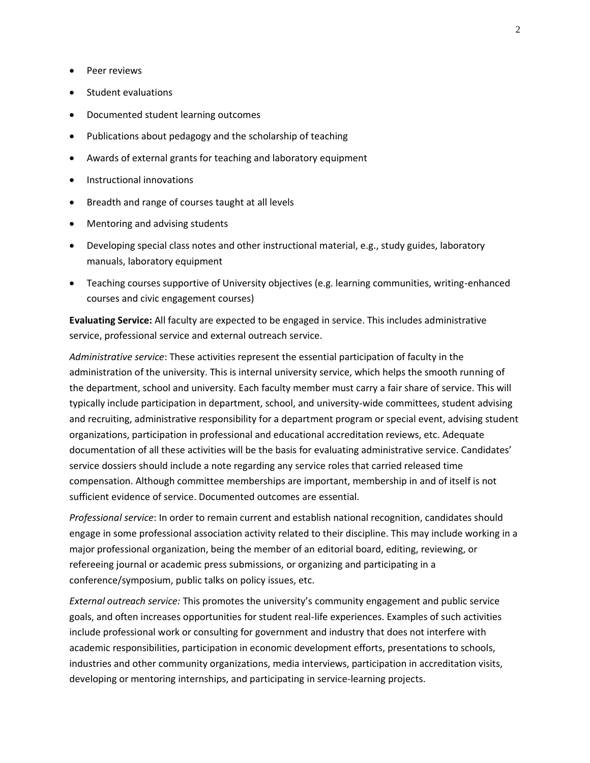- Peer reviews
- Student evaluations
- Documented student learning outcomes
- Publications about pedagogy and the scholarship of teaching
- Awards of external grants for teaching and laboratory equipment
- Instructional innovations
- Breadth and range of courses taught at all levels
- Mentoring and advising students
- Developing special class notes and other instructional material, e.g., study guides, laboratory manuals, laboratory equipment
- Teaching courses supportive of University objectives (e.g. learning communities, writing-enhanced courses and civic engagement courses)

**Evaluating Service:** All faculty are expected to be engaged in service. This includes administrative service, professional service and external outreach service.

*Administrative service*: These activities represent the essential participation of faculty in the administration of the university. This is internal university service, which helps the smooth running of the department, school and university. Each faculty member must carry a fair share of service. This will typically include participation in department, school, and university-wide committees, student advising and recruiting, administrative responsibility for a department program or special event, advising student organizations, participation in professional and educational accreditation reviews, etc. Adequate documentation of all these activities will be the basis for evaluating administrative service. Candidates' service dossiers should include a note regarding any service roles that carried released time compensation. Although committee memberships are important, membership in and of itself is not sufficient evidence of service. Documented outcomes are essential.

*Professional service*: In order to remain current and establish national recognition, candidates should engage in some professional association activity related to their discipline. This may include working in a major professional organization, being the member of an editorial board, editing, reviewing, or refereeing journal or academic press submissions, or organizing and participating in a conference/symposium, public talks on policy issues, etc.

*External outreach service:* This promotes the university's community engagement and public service goals, and often increases opportunities for student real-life experiences. Examples of such activities include professional work or consulting for government and industry that does not interfere with academic responsibilities, participation in economic development efforts, presentations to schools, industries and other community organizations, media interviews, participation in accreditation visits, developing or mentoring internships, and participating in service-learning projects.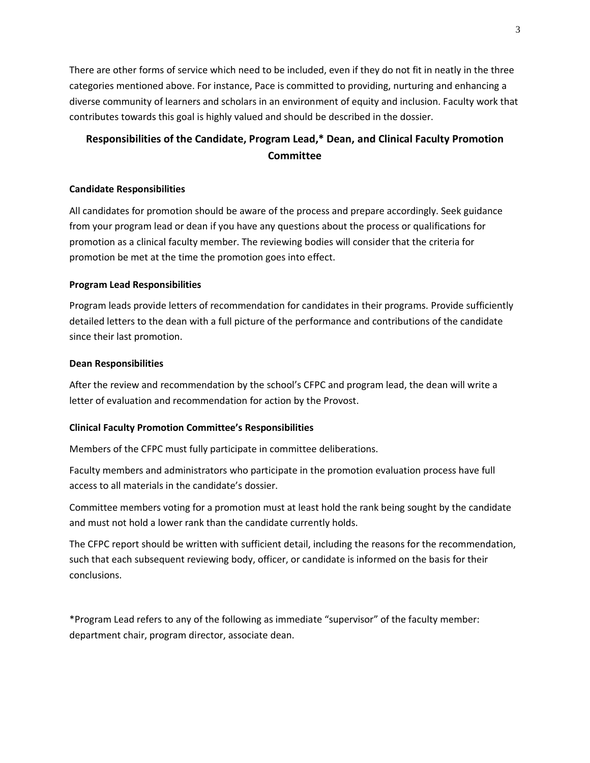There are other forms of service which need to be included, even if they do not fit in neatly in the three categories mentioned above. For instance, Pace is committed to providing, nurturing and enhancing a diverse community of learners and scholars in an environment of equity and inclusion. Faculty work that contributes towards this goal is highly valued and should be described in the dossier.

# **Responsibilities of the Candidate, Program Lead,\* Dean, and Clinical Faculty Promotion Committee**

#### **Candidate Responsibilities**

All candidates for promotion should be aware of the process and prepare accordingly. Seek guidance from your program lead or dean if you have any questions about the process or qualifications for promotion as a clinical faculty member. The reviewing bodies will consider that the criteria for promotion be met at the time the promotion goes into effect.

#### **Program Lead Responsibilities**

Program leads provide letters of recommendation for candidates in their programs. Provide sufficiently detailed letters to the dean with a full picture of the performance and contributions of the candidate since their last promotion.

#### **Dean Responsibilities**

After the review and recommendation by the school's CFPC and program lead, the dean will write a letter of evaluation and recommendation for action by the Provost.

#### **Clinical Faculty Promotion Committee's Responsibilities**

Members of the CFPC must fully participate in committee deliberations.

Faculty members and administrators who participate in the promotion evaluation process have full access to all materials in the candidate's dossier.

Committee members voting for a promotion must at least hold the rank being sought by the candidate and must not hold a lower rank than the candidate currently holds.

The CFPC report should be written with sufficient detail, including the reasons for the recommendation, such that each subsequent reviewing body, officer, or candidate is informed on the basis for their conclusions.

\*Program Lead refers to any of the following as immediate "supervisor" of the faculty member: department chair, program director, associate dean.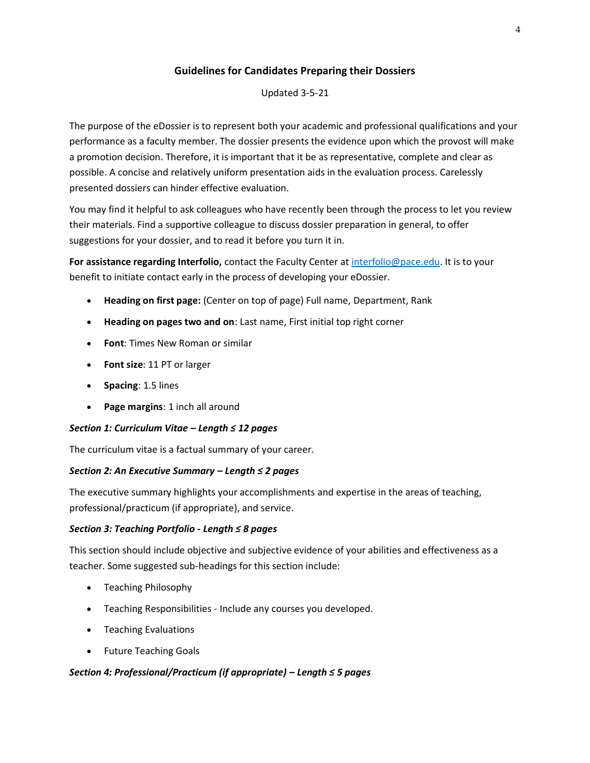# **Guidelines for Candidates Preparing their Dossiers**

Updated 3-5-21

The purpose of the eDossier is to represent both your academic and professional qualifications and your performance as a faculty member. The dossier presents the evidence upon which the provost will make a promotion decision. Therefore, it is important that it be as representative, complete and clear as possible. A concise and relatively uniform presentation aids in the evaluation process. Carelessly presented dossiers can hinder effective evaluation.

You may find it helpful to ask colleagues who have recently been through the process to let you review their materials. Find a supportive colleague to discuss dossier preparation in general, to offer suggestions for your dossier, and to read it before you turn it in.

**For assistance regarding Interfolio,** contact the Faculty Center a[t interfolio@pace.edu.](mailto:interfolio@pace.edu) It is to your benefit to initiate contact early in the process of developing your eDossier.

- **Heading on first page:** (Center on top of page) Full name, Department, Rank
- **Heading on pages two and on**: Last name, First initial top right corner
- **Font**: Times New Roman or similar
- **Font size**: 11 PT or larger
- **Spacing**: 1.5 lines
- **Page margins**: 1 inch all around

# *Section 1: Curriculum Vitae – Length ≤ 12 pages*

The curriculum vitae is a factual summary of your career.

# *Section 2: An Executive Summary – Length ≤ 2 pages*

The executive summary highlights your accomplishments and expertise in the areas of teaching, professional/practicum (if appropriate), and service.

# *Section 3: Teaching Portfolio - Length ≤ 8 pages*

This section should include objective and subjective evidence of your abilities and effectiveness as a teacher. Some suggested sub-headings for this section include:

- Teaching Philosophy
- Teaching Responsibilities Include any courses you developed.
- Teaching Evaluations
- Future Teaching Goals

# *Section 4: Professional/Practicum (if appropriate) – Length ≤ 5 pages*